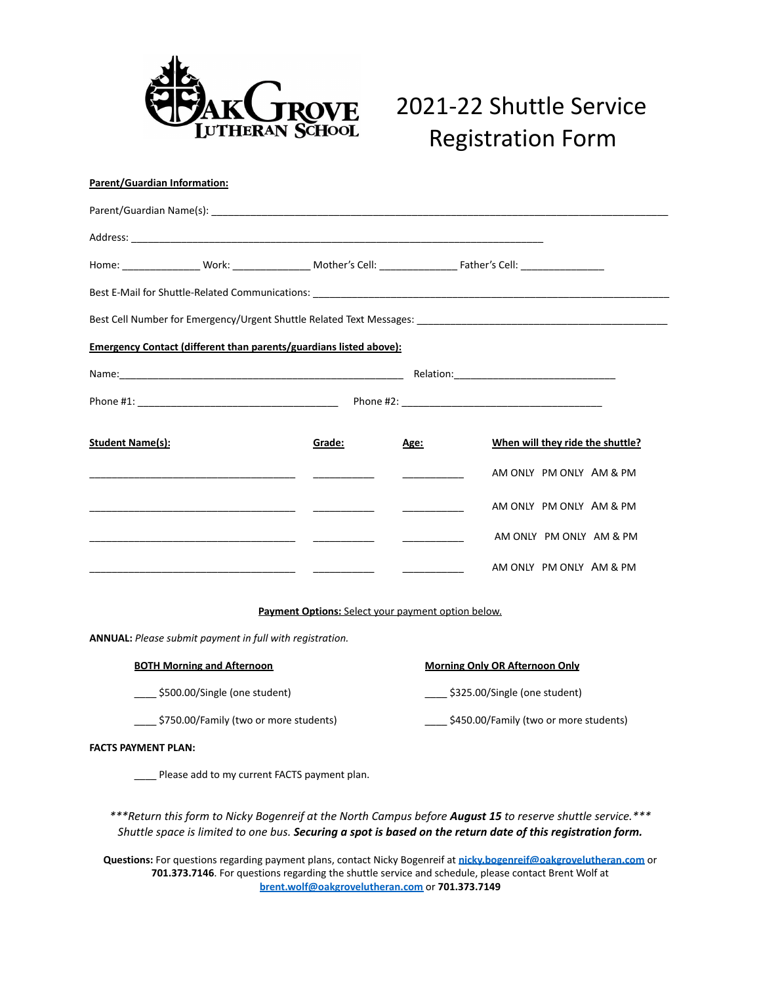

# 2021-22 Shuttle Service Registration Form

| <b>Parent/Guardian Information:</b>                                                                                                                                                                                          |        |                                                    |                                            |  |
|------------------------------------------------------------------------------------------------------------------------------------------------------------------------------------------------------------------------------|--------|----------------------------------------------------|--------------------------------------------|--|
|                                                                                                                                                                                                                              |        |                                                    |                                            |  |
|                                                                                                                                                                                                                              |        |                                                    |                                            |  |
|                                                                                                                                                                                                                              |        |                                                    |                                            |  |
|                                                                                                                                                                                                                              |        |                                                    |                                            |  |
|                                                                                                                                                                                                                              |        |                                                    |                                            |  |
| <b>Emergency Contact (different than parents/guardians listed above):</b>                                                                                                                                                    |        |                                                    |                                            |  |
|                                                                                                                                                                                                                              |        |                                                    |                                            |  |
|                                                                                                                                                                                                                              |        |                                                    |                                            |  |
| <b>Student Name(s):</b>                                                                                                                                                                                                      | Grade: | Age:                                               | When will they ride the shuttle?           |  |
|                                                                                                                                                                                                                              |        |                                                    | AM ONLY PM ONLY AM & PM                    |  |
|                                                                                                                                                                                                                              |        |                                                    | AM ONLY PM ONLY AM & PM                    |  |
|                                                                                                                                                                                                                              |        |                                                    | AM ONLY PM ONLY AM & PM                    |  |
|                                                                                                                                                                                                                              |        |                                                    | AM ONLY PM ONLY AM & PM                    |  |
|                                                                                                                                                                                                                              |        | Payment Options: Select your payment option below. |                                            |  |
| ANNUAL: Please submit payment in full with registration.                                                                                                                                                                     |        |                                                    |                                            |  |
| <b>BOTH Morning and Afternoon</b>                                                                                                                                                                                            |        |                                                    | <b>Morning Only OR Afternoon Only</b>      |  |
| ____ \$500.00/Single (one student)                                                                                                                                                                                           |        |                                                    | \$325.00/Single (one student)              |  |
| ___ \$750.00/Family (two or more students)                                                                                                                                                                                   |        |                                                    | ___ \$450.00/Family (two or more students) |  |
| <b>FACTS PAYMENT PLAN:</b>                                                                                                                                                                                                   |        |                                                    |                                            |  |
| Please add to my current FACTS payment plan.                                                                                                                                                                                 |        |                                                    |                                            |  |
| ***Return this form to Nicky Bogenreif at the North Campus before August 15 to reserve shuttle service.***                                                                                                                   |        |                                                    |                                            |  |
| Shuttle space is limited to one bus. Securing a spot is based on the return date of this registration form.                                                                                                                  |        |                                                    |                                            |  |
| Questions: For questions regarding payment plans, contact Nicky Bogenreif at nicky.bogenreif@oakgrovelutheran.com or<br>701.373.7146. For questions regarding the shuttle service and schedule, please contact Brent Wolf at |        |                                                    |                                            |  |

**701.373.7146**. For questions regarding the shuttle service and schedule, please contact Brent Wolf at **[brent.wolf@oakgrovelutheran.com](mailto:brent.wolf@oakgrovelutheran.com)** or **701.373.7149**